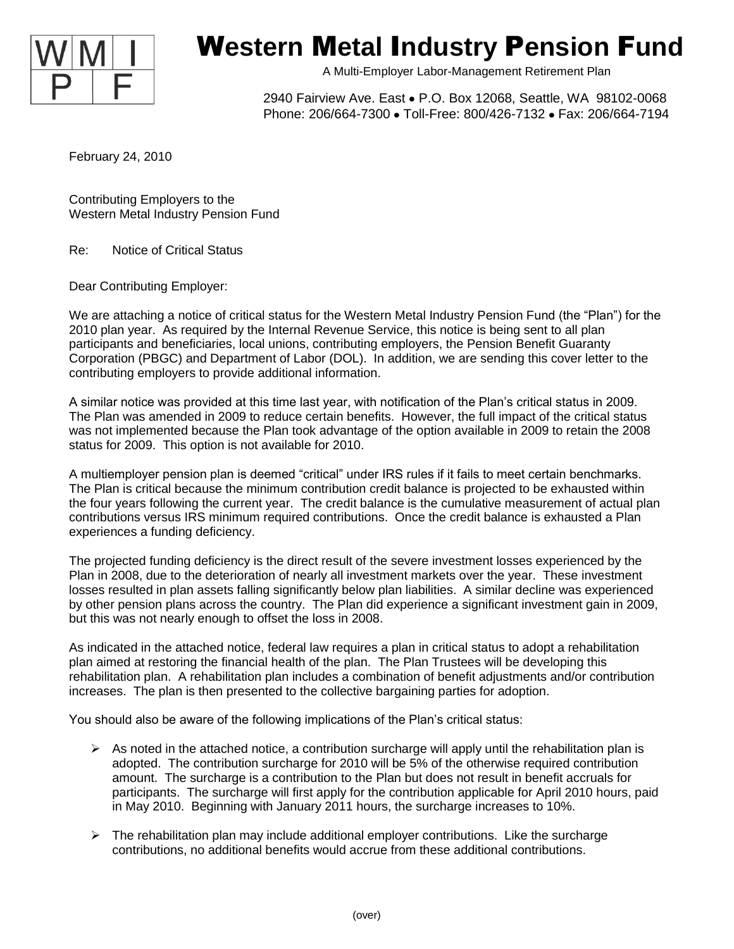

## W**estern** M**etal** I**ndustry** P**ension** F**und**

A Multi-Employer Labor-Management Retirement Plan

2940 Fairview Ave. East . P.O. Box 12068, Seattle, WA 98102-0068 Phone: 206/664-7300 · Toll-Free: 800/426-7132 · Fax: 206/664-7194

February 24, 2010

Contributing Employers to the Western Metal Industry Pension Fund

Re: Notice of Critical Status

Dear Contributing Employer:

We are attaching a notice of critical status for the Western Metal Industry Pension Fund (the "Plan") for the 2010 plan year. As required by the Internal Revenue Service, this notice is being sent to all plan participants and beneficiaries, local unions, contributing employers, the Pension Benefit Guaranty Corporation (PBGC) and Department of Labor (DOL). In addition, we are sending this cover letter to the contributing employers to provide additional information.

A similar notice was provided at this time last year, with notification of the Plan's critical status in 2009. The Plan was amended in 2009 to reduce certain benefits. However, the full impact of the critical status was not implemented because the Plan took advantage of the option available in 2009 to retain the 2008 status for 2009. This option is not available for 2010.

A multiemployer pension plan is deemed "critical" under IRS rules if it fails to meet certain benchmarks. The Plan is critical because the minimum contribution credit balance is projected to be exhausted within the four years following the current year. The credit balance is the cumulative measurement of actual plan contributions versus IRS minimum required contributions. Once the credit balance is exhausted a Plan experiences a funding deficiency.

The projected funding deficiency is the direct result of the severe investment losses experienced by the Plan in 2008, due to the deterioration of nearly all investment markets over the year. These investment losses resulted in plan assets falling significantly below plan liabilities. A similar decline was experienced by other pension plans across the country. The Plan did experience a significant investment gain in 2009, but this was not nearly enough to offset the loss in 2008.

As indicated in the attached notice, federal law requires a plan in critical status to adopt a rehabilitation plan aimed at restoring the financial health of the plan. The Plan Trustees will be developing this rehabilitation plan. A rehabilitation plan includes a combination of benefit adjustments and/or contribution increases. The plan is then presented to the collective bargaining parties for adoption.

You should also be aware of the following implications of the Plan's critical status:

- $\triangleright$  As noted in the attached notice, a contribution surcharge will apply until the rehabilitation plan is adopted. The contribution surcharge for 2010 will be 5% of the otherwise required contribution amount. The surcharge is a contribution to the Plan but does not result in benefit accruals for participants. The surcharge will first apply for the contribution applicable for April 2010 hours, paid in May 2010. Beginning with January 2011 hours, the surcharge increases to 10%.
- $\triangleright$  The rehabilitation plan may include additional employer contributions. Like the surcharge contributions, no additional benefits would accrue from these additional contributions.